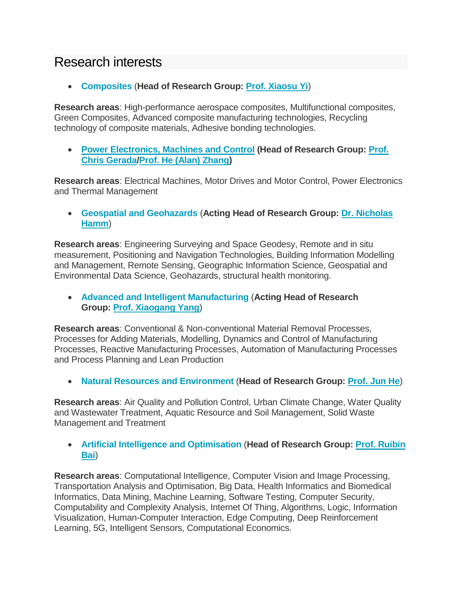## Research interests

**[Composites](https://www.nottingham.edu.cn/en/science-engineering/research-groups/composites-group/composites-group.aspx)** (**Head of Research Group: [Prof.](https://www.nottingham.edu.cn/en/Science-Engineering/People/Profile.aspx?id=ca15927e-1825-40d1-aaf6-59b2b50fc16a&language=en-GB) [Xiaosu Yi](https://www.nottingham.edu.cn/en/Science-Engineering/People/Profile.aspx?id=ca15927e-1825-40d1-aaf6-59b2b50fc16a&language=en-GB)**)

**Research areas**: High-performance aerospace composites, Multifunctional composites, Green Composites, Advanced composite manufacturing technologies, Recycling technology of composite materials, Adhesive bonding technologies.

 **[Power Electronics, Machines and Control](https://www.nottingham.ac.uk/research/groups/power-electronics-machines-and-control-group/index.aspx) (Head of Research Group: [Prof.](https://www.nottingham.edu.cn/en/People/Profile.aspx?id=58db66e8-eded-4e68-a831-b58f6a5659d9&language=en-GB)  [Chris Gerada](https://www.nottingham.edu.cn/en/People/Profile.aspx?id=58db66e8-eded-4e68-a831-b58f6a5659d9&language=en-GB)[/Prof. He \(Alan\) Zhang\)](https://www.nottingham.edu.cn/en/People/Profile.aspx?id=4194159d-1721-4b39-9c13-4e836e5438ee&language=en-GB)**

**Research areas**: Electrical Machines, Motor Drives and Motor Control, Power Electronics and Thermal Management

 **[Geospatial and Geohazards](https://www.nottingham.edu.cn/en/science-engineering/research-groups/geospatial-and-geo-hazards/index.aspx)** (**Acting Head of Research Group: [Dr. Nicholas](https://www.nottingham.edu.cn/en/People/Profile.aspx?id=d178a00d-d6e9-4b05-bc06-af8777063a90&language=en-GB)  [Hamm](https://www.nottingham.edu.cn/en/People/Profile.aspx?id=d178a00d-d6e9-4b05-bc06-af8777063a90&language=en-GB)**)

**Research areas**: Engineering Surveying and Space Geodesy, Remote and in situ measurement, Positioning and Navigation Technologies, Building Information Modelling and Management, Remote Sensing, Geographic Information Science, Geospatial and Environmental Data Science, Geohazards, structural health monitoring.

 **[Advanced and Intelligent Manufacturing](https://www.nottingham.edu.cn/en/science-engineering/research-groups/advanced-and-intelligent-manufacturing-research-gr/advanced-and-intelligent-manufacturing-research-group.aspx)** (**Acting Head of Research Group: [Prof. Xiaogang Yang](https://www.nottingham.edu.cn/en/Science-Engineering/People/Profile.aspx?id=db5988d6-a791-4da2-baa4-ebec4c61d530&language=en-GB)**)

**Research areas**: Conventional & Non-conventional Material Removal Processes, Processes for Adding Materials, Modelling, Dynamics and Control of Manufacturing Processes, Reactive Manufacturing Processes, Automation of Manufacturing Processes and Process Planning and Lean Production

**[Natural Resources and Environment](https://www.nottingham.edu.cn/en/science-engineering/research-groups/natural-resources-and-environment/natural-resources-and-environment.aspx)** (**Head of Research Group: [Prof. Jun He](https://www.nottingham.edu.cn/en/Science-Engineering/People/Profile.aspx?id=f36e963f-7421-4e24-8498-8adab027ed87&language=en-GB)**)

**Research areas**: Air Quality and Pollution Control, Urban Climate Change, Water Quality and Wastewater Treatment, Aquatic Resource and Soil Management, Solid Waste Management and Treatment

## **[Artificial Intelligence and Optimisation](https://www.nottingham.edu.cn/en/science-engineering/departments-schools/cs/research/aiop-research-group.aspx)** (**Head of Research Group: [Prof. Ruibin](https://www.nottingham.edu.cn/en/Science-Engineering/People/Profile.aspx?id=9c5ba51c-238c-461f-bb54-1b6d39ed40b4&language=en-GB)  [Bai](https://www.nottingham.edu.cn/en/Science-Engineering/People/Profile.aspx?id=9c5ba51c-238c-461f-bb54-1b6d39ed40b4&language=en-GB)**)

**Research areas**: Computational Intelligence, Computer Vision and Image Processing, Transportation Analysis and Optimisation, Big Data, Health Informatics and Biomedical Informatics, Data Mining, Machine Learning, Software Testing, Computer Security, Computability and Complexity Analysis, Internet Of Thing, Algorithms, Logic, Information Visualization, Human-Computer Interaction, Edge Computing, Deep Reinforcement Learning, 5G, Intelligent Sensors, Computational Economics.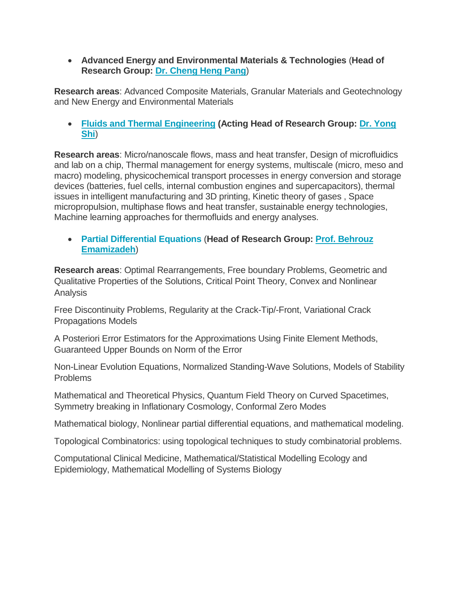**Advanced Energy and Environmental Materials & Technologies** (**Head of Research Group: [Dr. Cheng Heng Pang](https://www.nottingham.edu.cn/en/Science-Engineering/People/Profile.aspx?id=11dc66d2-59e4-4bdd-862c-109231f59491&language=en-GB)**)

**Research areas**: Advanced Composite Materials, Granular Materials and Geotechnology and New Energy and Environmental Materials

 **[Fluids and Thermal Engineering](https://www.nottingham.edu.cn/en/science-engineering/research-groups/fluids-and-thermal-engineering/fluids-and-thermal-engineering.aspx) (Acting Head of Research Group: [Dr. Yong](https://www.nottingham.edu.cn/en/Science-Engineering/People/Profile.aspx?id=66d90468-0e29-4642-a663-f5cc328291aa&language=en-GB)  [Shi](https://www.nottingham.edu.cn/en/Science-Engineering/People/Profile.aspx?id=66d90468-0e29-4642-a663-f5cc328291aa&language=en-GB)**)

**Research areas**: Micro/nanoscale flows, mass and heat transfer, Design of microfluidics and lab on a chip, Thermal management for energy systems, multiscale (micro, meso and macro) modeling, physicochemical transport processes in energy conversion and storage devices (batteries, fuel cells, internal combustion engines and supercapacitors), thermal issues in intelligent manufacturing and 3D printing, Kinetic theory of gases , Space micropropulsion, multiphase flows and heat transfer, sustainable energy technologies, Machine learning approaches for thermofluids and energy analyses.

 **[Partial Differential Equations](https://www.nottingham.edu.cn/en/science-engineering/research-groups/partial-differential-equations/partial-differential-equations.aspx)** (**Head of Research Group: [Prof. Behrouz](https://www.nottingham.edu.cn/en/Science-Engineering/People/Profile.aspx?id=d56e5be3-81ce-468f-8163-11deb4f3f8f7&language=en-GB)  [Emamizadeh](https://www.nottingham.edu.cn/en/Science-Engineering/People/Profile.aspx?id=d56e5be3-81ce-468f-8163-11deb4f3f8f7&language=en-GB)**)

**Research areas**: Optimal Rearrangements, Free boundary Problems, Geometric and Qualitative Properties of the Solutions, Critical Point Theory, Convex and Nonlinear Analysis

Free Discontinuity Problems, Regularity at the Crack-Tip/-Front, Variational Crack Propagations Models

A Posteriori Error Estimators for the Approximations Using Finite Element Methods, Guaranteed Upper Bounds on Norm of the Error

Non-Linear Evolution Equations, Normalized Standing-Wave Solutions, Models of Stability Problems

Mathematical and Theoretical Physics, Quantum Field Theory on Curved Spacetimes, Symmetry breaking in Inflationary Cosmology, Conformal Zero Modes

Mathematical biology, Nonlinear partial differential equations, and mathematical modeling.

Topological Combinatorics: using topological techniques to study combinatorial problems.

Computational Clinical Medicine, Mathematical/Statistical Modelling Ecology and Epidemiology, Mathematical Modelling of Systems Biology